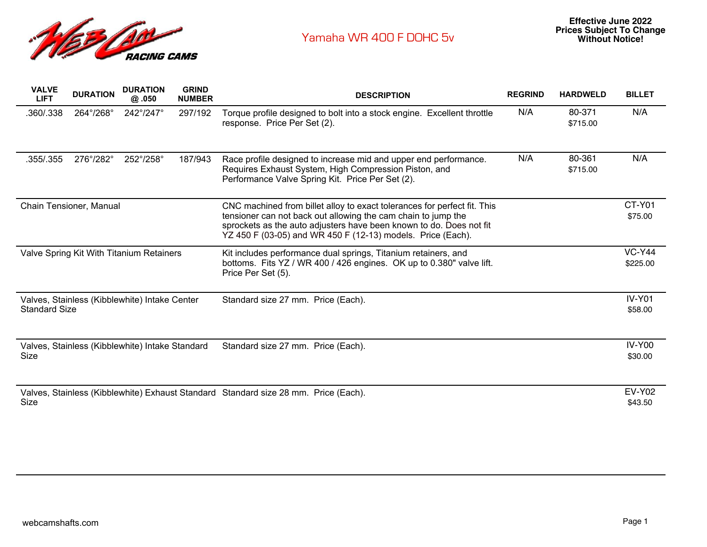

| <b>VALVE</b><br><b>LIFT</b>                                           | <b>DURATION</b> | <b>DURATION</b><br>@.050                        | <b>GRIND</b><br><b>NUMBER</b> | <b>DESCRIPTION</b>                                                                                                                                                                                                                                                              | <b>REGRIND</b> | <b>HARDWELD</b>    | <b>BILLET</b>             |
|-----------------------------------------------------------------------|-----------------|-------------------------------------------------|-------------------------------|---------------------------------------------------------------------------------------------------------------------------------------------------------------------------------------------------------------------------------------------------------------------------------|----------------|--------------------|---------------------------|
| .360/.338                                                             | 264°/268°       | 242°/247°                                       | 297/192                       | Torque profile designed to bolt into a stock engine. Excellent throttle<br>response. Price Per Set (2).                                                                                                                                                                         | N/A            | 80-371<br>\$715.00 | N/A                       |
| .355/.355                                                             | 276°/282°       | 252°/258°                                       | 187/943                       | Race profile designed to increase mid and upper end performance.<br>Requires Exhaust System, High Compression Piston, and<br>Performance Valve Spring Kit. Price Per Set (2).                                                                                                   | N/A            | 80-361<br>\$715.00 | N/A                       |
| Chain Tensioner, Manual                                               |                 |                                                 |                               | CNC machined from billet alloy to exact tolerances for perfect fit. This<br>tensioner can not back out allowing the cam chain to jump the<br>sprockets as the auto adjusters have been known to do. Does not fit<br>YZ 450 F (03-05) and WR 450 F (12-13) models. Price (Each). |                |                    | CT-Y01<br>\$75.00         |
| Valve Spring Kit With Titanium Retainers                              |                 |                                                 |                               | Kit includes performance dual springs, Titanium retainers, and<br>bottoms. Fits YZ / WR 400 / 426 engines. OK up to 0.380" valve lift.<br>Price Per Set (5).                                                                                                                    |                |                    | <b>VC-Y44</b><br>\$225.00 |
| Valves, Stainless (Kibblewhite) Intake Center<br><b>Standard Size</b> |                 |                                                 |                               | Standard size 27 mm. Price (Each).                                                                                                                                                                                                                                              |                |                    | $IV-Y01$<br>\$58.00       |
| Size                                                                  |                 | Valves, Stainless (Kibblewhite) Intake Standard |                               | Standard size 27 mm. Price (Each).                                                                                                                                                                                                                                              |                |                    | <b>IV-Y00</b><br>\$30.00  |
| Size                                                                  |                 |                                                 |                               | Valves, Stainless (Kibblewhite) Exhaust Standard Standard size 28 mm. Price (Each).                                                                                                                                                                                             |                |                    | <b>EV-Y02</b><br>\$43.50  |